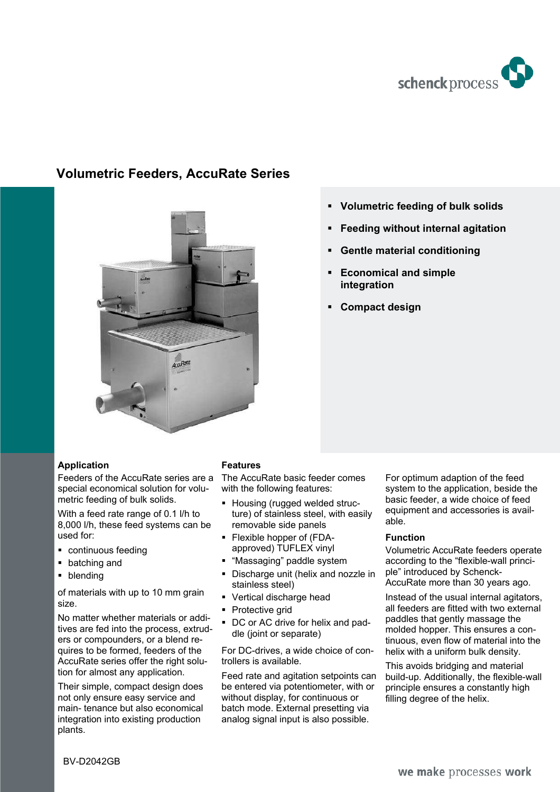

# **Volumetric Feeders, AccuRate Series**



# **Volumetric feeding of bulk solids**

- **Feeding without internal agitation**
- **Gentle material conditioning**
- **Economical and simple integration**
- **Compact design**

## **Application**

Feeders of the AccuRate series are a special economical solution for volumetric feeding of bulk solids.

With a feed rate range of 0.1 l/h to 8,000 l/h, these feed systems can be used for:

- **•** continuous feeding
- **batching and**
- **•** blending

of materials with up to 10 mm grain size.

No matter whether materials or additives are fed into the process, extruders or compounders, or a blend requires to be formed, feeders of the AccuRate series offer the right solution for almost any application.

Their simple, compact design does not only ensure easy service and main- tenance but also economical integration into existing production plants.

#### **Features**

The AccuRate basic feeder comes with the following features:

- **Housing (rugged welded struc**ture) of stainless steel, with easily removable side panels
- Flexible hopper of (FDAapproved) TUFLEX vinyl
- "Massaging" paddle system
- Discharge unit (helix and nozzle in stainless steel)
- Vertical discharge head
- Protective grid
- DC or AC drive for helix and paddle (joint or separate)

For DC-drives, a wide choice of controllers is available.

Feed rate and agitation setpoints can be entered via potentiometer, with or without display, for continuous or batch mode. External presetting via analog signal input is also possible.

For optimum adaption of the feed system to the application, beside the basic feeder, a wide choice of feed equipment and accessories is available.

#### **Function**

Volumetric AccuRate feeders operate according to the "flexible-wall principle" introduced by Schenck-AccuRate more than 30 years ago.

Instead of the usual internal agitators, all feeders are fitted with two external paddles that gently massage the molded hopper. This ensures a continuous, even flow of material into the helix with a uniform bulk density.

This avoids bridging and material build-up. Additionally, the flexible-wall principle ensures a constantly high filling degree of the helix.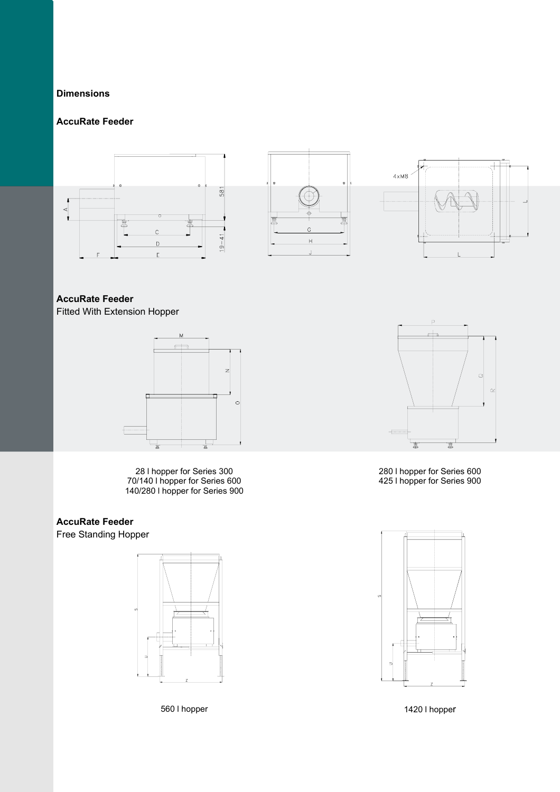## **Dimensions**

# **AccuRate Feeder**







# **AccuRate Feeder**

Fitted With Extension Hopper



28 l hopper for Series 300 70/140 l hopper for Series 600 140/280 l hopper for Series 900

# **AccuRate Feeder**

Free Standing Hopper





280 l hopper for Series 600 425 l hopper for Series 900



560 l hopper 1420 l hopper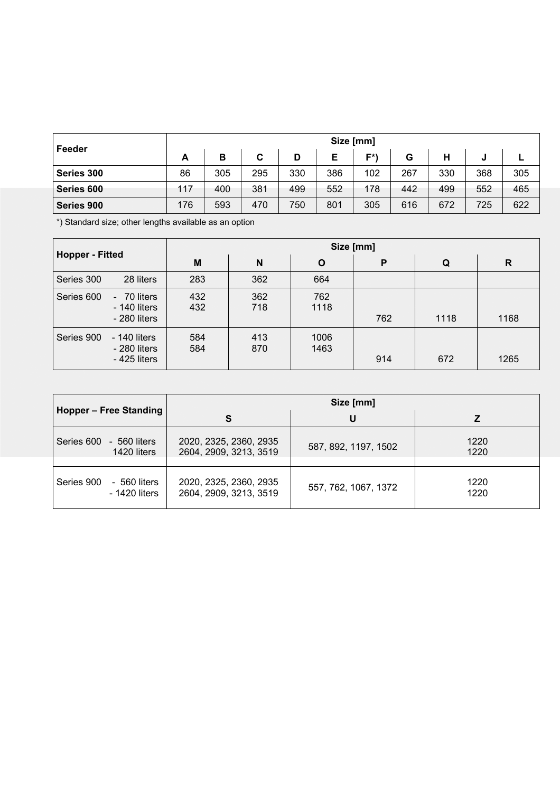| Feeder     | Size [mm] |     |     |     |     |     |     |     |     |     |  |  |
|------------|-----------|-----|-----|-----|-----|-----|-----|-----|-----|-----|--|--|
|            | A         | в   | C   | D   |     | E*) | G   |     | J   |     |  |  |
| Series 300 | 86        | 305 | 295 | 330 | 386 | 102 | 267 | 330 | 368 | 305 |  |  |
| Series 600 | 117       | 400 | 381 | 499 | 552 | 178 | 442 | 499 | 552 | 465 |  |  |
| Series 900 | 176       | 593 | 470 | 750 | 801 | 305 | 616 | 672 | 725 | 622 |  |  |

\*) Standard size; other lengths available as an option

| <b>Hopper - Fitted</b> |                                                      | Size [mm]  |            |              |     |      |      |  |  |  |  |
|------------------------|------------------------------------------------------|------------|------------|--------------|-----|------|------|--|--|--|--|
|                        |                                                      | M          | N          | O            | P   | Q    | R    |  |  |  |  |
| Series 300             | 28 liters                                            | 283        | 362        | 664          |     |      |      |  |  |  |  |
| Series 600             | 70 liters<br>$\sim$<br>$-140$ liters<br>- 280 liters | 432<br>432 | 362<br>718 | 762<br>1118  | 762 | 1118 | 1168 |  |  |  |  |
| Series 900             | - 140 liters<br>$-280$ liters<br>- 425 liters        | 584<br>584 | 413<br>870 | 1006<br>1463 | 914 | 672  | 1265 |  |  |  |  |

|                                             | Size [mm]                                        |                      |              |  |  |  |  |  |  |
|---------------------------------------------|--------------------------------------------------|----------------------|--------------|--|--|--|--|--|--|
| Hopper - Free Standing                      | S                                                | U                    |              |  |  |  |  |  |  |
| Series 600<br>- 560 liters<br>1420 liters   | 2020, 2325, 2360, 2935<br>2604, 2909, 3213, 3519 | 587, 892, 1197, 1502 | 1220<br>1220 |  |  |  |  |  |  |
| Series 900<br>- 560 liters<br>- 1420 liters | 2020, 2325, 2360, 2935<br>2604, 2909, 3213, 3519 | 557, 762, 1067, 1372 | 1220<br>1220 |  |  |  |  |  |  |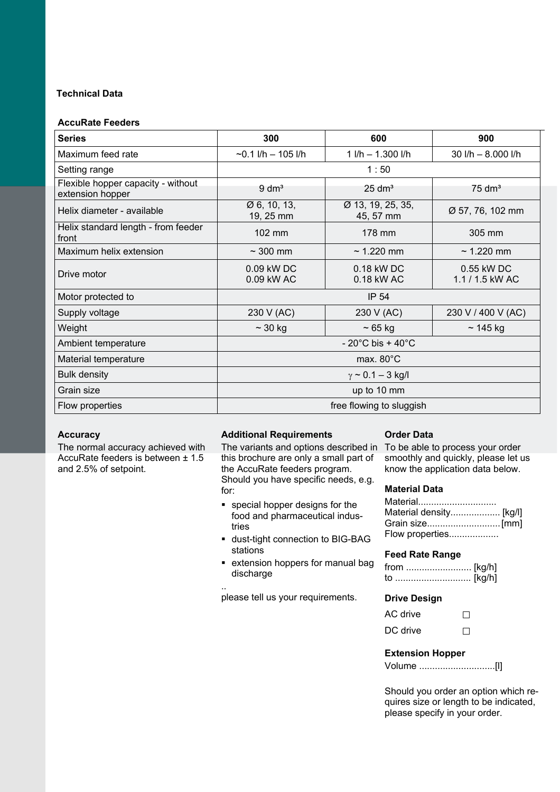# **Technical Data**

## **AccuRate Feeders**

| <b>Series</b>                                          | 300                                   | 600                                   | 900                             |  |  |  |  |  |
|--------------------------------------------------------|---------------------------------------|---------------------------------------|---------------------------------|--|--|--|--|--|
| Maximum feed rate                                      | $\sim$ 0.1 l/h – 105 l/h              | $1$ I/h $- 1.300$ I/h                 | 30 l/h - 8.000 l/h              |  |  |  |  |  |
| Setting range                                          |                                       | 1:50                                  |                                 |  |  |  |  |  |
| Flexible hopper capacity - without<br>extension hopper | $9 \text{ dm}^3$                      | $25 \text{ dm}^3$                     | $75 \text{ dm}^3$               |  |  |  |  |  |
| Helix diameter - available                             | $\varnothing$ 6, 10, 13,<br>19, 25 mm | Ø 13, 19, 25, 35,<br>45, 57 mm        | Ø 57, 76, 102 mm                |  |  |  |  |  |
| Helix standard length - from feeder<br>front           | 102 mm                                | 178 mm                                | 305 mm                          |  |  |  |  |  |
| Maximum helix extension                                | $\sim$ 300 mm                         | $\sim$ 1.220 mm                       | $\sim$ 1.220 mm                 |  |  |  |  |  |
| Drive motor                                            | 0.09 kW DC<br>0.09 kW AC              | $0.18$ kW DC<br>0.18 kW AC            | 0.55 kW DC<br>$1.1 / 1.5$ kW AC |  |  |  |  |  |
| Motor protected to                                     | IP 54                                 |                                       |                                 |  |  |  |  |  |
| Supply voltage                                         | 230 V (AC)                            | 230 V (AC)                            | 230 V / 400 V (AC)              |  |  |  |  |  |
| Weight                                                 | $\sim$ 30 kg                          | $\sim 65$ kg                          | $\sim$ 145 kg                   |  |  |  |  |  |
| Ambient temperature                                    |                                       | $-20^{\circ}$ C bis + 40 $^{\circ}$ C |                                 |  |  |  |  |  |
| Material temperature                                   | max. $80^{\circ}$ C                   |                                       |                                 |  |  |  |  |  |
| <b>Bulk density</b>                                    |                                       | $\gamma \sim 0.1 - 3$ kg/l            |                                 |  |  |  |  |  |
| Grain size                                             | up to 10 mm                           |                                       |                                 |  |  |  |  |  |
| Flow properties                                        | free flowing to sluggish              |                                       |                                 |  |  |  |  |  |

## **Accuracy**

The normal accuracy achieved with AccuRate feeders is between ± 1.5 and 2.5% of setpoint.

## **Additional Requirements**

The variants and options described in To be able to process your order this brochure are only a small part of the AccuRate feeders program. Should you have specific needs, e.g. for:

- special hopper designs for the food and pharmaceutical industries
- dust-tight connection to BIG-BAG stations
- **Extension hoppers for manual bag** discharge

.. please tell us your requirements.

## **Order Data**

smoothly and quickly, please let us know the application data below.

#### **Material Data**

| Material        |  |
|-----------------|--|
|                 |  |
|                 |  |
| Flow properties |  |

#### **Feed Rate Range**

## **Drive Design**

| AC drive | $\perp$ |
|----------|---------|
| DC drive | $\perp$ |

#### **Extension Hopper**

Volume .............................[l]

Should you order an option which requires size or length to be indicated, please specify in your order.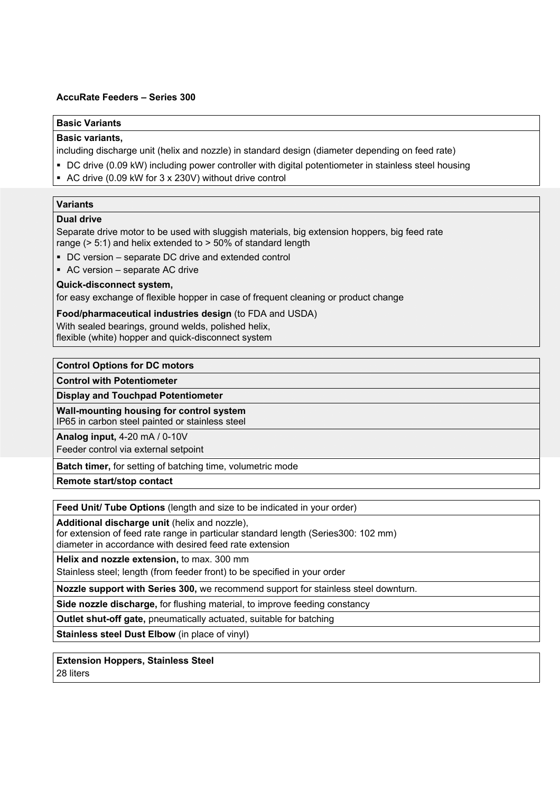## **AccuRate Feeders – Series 300**

## **Basic Variants**

#### **Basic variants,**

including discharge unit (helix and nozzle) in standard design (diameter depending on feed rate)

- DC drive (0.09 kW) including power controller with digital potentiometer in stainless steel housing
- AC drive (0.09 kW for 3 x 230V) without drive control

## **Variants**

#### **Dual drive**

Separate drive motor to be used with sluggish materials, big extension hoppers, big feed rate range (> 5:1) and helix extended to > 50% of standard length

- DC version separate DC drive and extended control
- AC version separate AC drive

#### **Quick-disconnect system,**

for easy exchange of flexible hopper in case of frequent cleaning or product change

#### **Food/pharmaceutical industries design** (to FDA and USDA)

With sealed bearings, ground welds, polished helix, flexible (white) hopper and quick-disconnect system

**Control Options for DC motors** 

**Control with Potentiometer** 

**Display and Touchpad Potentiometer** 

**Wall-mounting housing for control system**  IP65 in carbon steel painted or stainless steel

**Analog input,** 4-20 mA / 0-10V

Feeder control via external setpoint

**Batch timer,** for setting of batching time, volumetric mode

**Remote start/stop contact** 

**Feed Unit/ Tube Options** (length and size to be indicated in your order)

**Additional discharge unit** (helix and nozzle),

for extension of feed rate range in particular standard length (Series300: 102 mm)

diameter in accordance with desired feed rate extension

**Helix and nozzle extension,** to max. 300 mm

Stainless steel; length (from feeder front) to be specified in your order

**Nozzle support with Series 300,** we recommend support for stainless steel downturn.

**Side nozzle discharge,** for flushing material, to improve feeding constancy

**Outlet shut-off gate,** pneumatically actuated, suitable for batching

**Stainless steel Dust Elbow** (in place of vinyl)

## **Extension Hoppers, Stainless Steel**

28 liters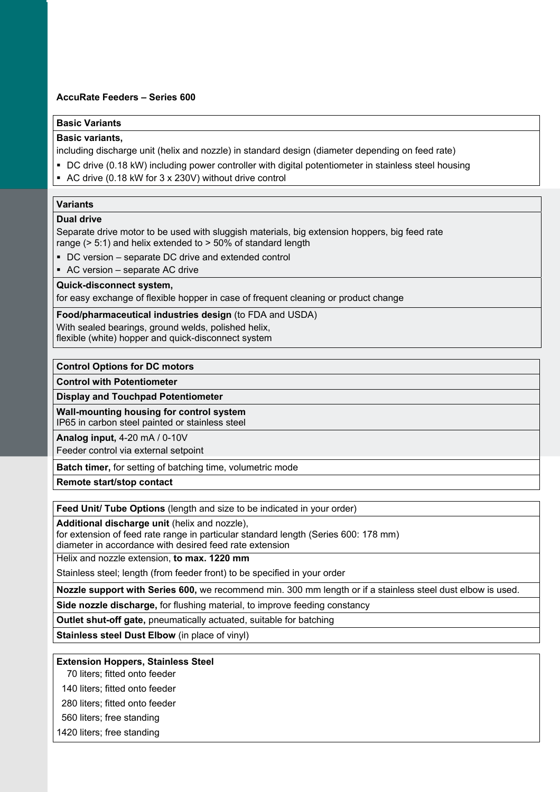## **AccuRate Feeders – Series 600**

## **Basic Variants**

## **Basic variants,**

including discharge unit (helix and nozzle) in standard design (diameter depending on feed rate)

- DC drive (0.18 kW) including power controller with digital potentiometer in stainless steel housing
- AC drive (0.18 kW for 3 x 230V) without drive control

## **Variants**

#### **Dual drive**

Separate drive motor to be used with sluggish materials, big extension hoppers, big feed rate range (> 5:1) and helix extended to > 50% of standard length

- DC version separate DC drive and extended control
- AC version separate AC drive

#### **Quick-disconnect system,**

for easy exchange of flexible hopper in case of frequent cleaning or product change

**Food/pharmaceutical industries design** (to FDA and USDA) With sealed bearings, ground welds, polished helix, flexible (white) hopper and quick-disconnect system

#### **Control Options for DC motors**

**Control with Potentiometer** 

**Display and Touchpad Potentiometer** 

**Wall-mounting housing for control system**  IP65 in carbon steel painted or stainless steel

**Analog input,** 4-20 mA / 0-10V

Feeder control via external setpoint

**Batch timer,** for setting of batching time, volumetric mode

**Remote start/stop contact** 

**Feed Unit/ Tube Options** (length and size to be indicated in your order)

**Additional discharge unit** (helix and nozzle),

for extension of feed rate range in particular standard length (Series 600: 178 mm)

diameter in accordance with desired feed rate extension

Helix and nozzle extension, **to max. 1220 mm** 

Stainless steel; length (from feeder front) to be specified in your order

**Nozzle support with Series 600,** we recommend min. 300 mm length or if a stainless steel dust elbow is used.

**Side nozzle discharge,** for flushing material, to improve feeding constancy

**Outlet shut-off gate,** pneumatically actuated, suitable for batching

**Stainless steel Dust Elbow** (in place of vinyl)

#### **Extension Hoppers, Stainless Steel**

70 liters; fitted onto feeder

140 liters; fitted onto feeder

280 liters; fitted onto feeder

560 liters; free standing

1420 liters; free standing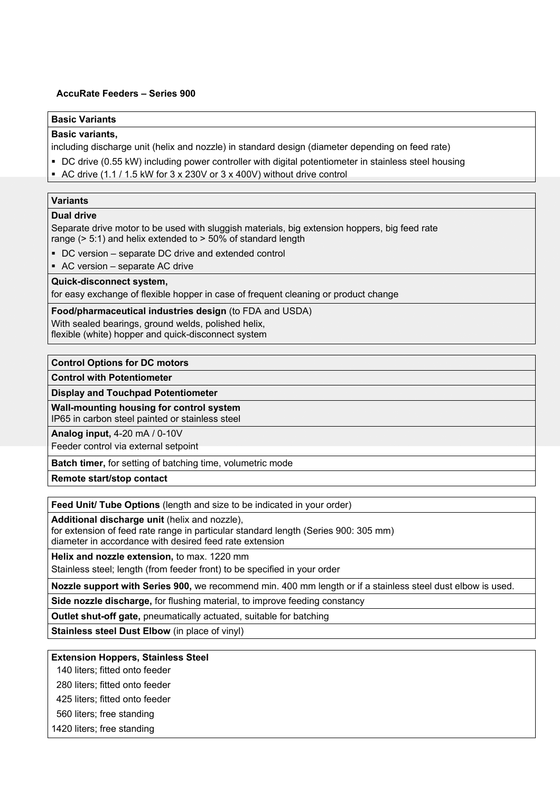#### **AccuRate Feeders – Series 900**

## **Basic Variants**

#### **Basic variants,**

including discharge unit (helix and nozzle) in standard design (diameter depending on feed rate)

- DC drive (0.55 kW) including power controller with digital potentiometer in stainless steel housing
- AC drive (1.1 / 1.5 kW for 3 x 230V or 3 x 400V) without drive control

# **Variants**

#### **Dual drive**

Separate drive motor to be used with sluggish materials, big extension hoppers, big feed rate range  $(> 5:1)$  and helix extended to  $> 50\%$  of standard length

- DC version separate DC drive and extended control
- AC version separate AC drive

#### **Quick-disconnect system,**

for easy exchange of flexible hopper in case of frequent cleaning or product change

**Food/pharmaceutical industries design** (to FDA and USDA) With sealed bearings, ground welds, polished helix,

flexible (white) hopper and quick-disconnect system

## **Control Options for DC motors**

**Control with Potentiometer** 

**Display and Touchpad Potentiometer** 

**Wall-mounting housing for control system**  IP65 in carbon steel painted or stainless steel

**Analog input,** 4-20 mA / 0-10V

Feeder control via external setpoint

**Batch timer,** for setting of batching time, volumetric mode

**Remote start/stop contact** 

**Feed Unit/ Tube Options** (length and size to be indicated in your order)

**Additional discharge unit** (helix and nozzle),

for extension of feed rate range in particular standard length (Series 900: 305 mm) diameter in accordance with desired feed rate extension

**Helix and nozzle extension,** to max. 1220 mm

Stainless steel; length (from feeder front) to be specified in your order

**Nozzle support with Series 900,** we recommend min. 400 mm length or if a stainless steel dust elbow is used.

**Side nozzle discharge,** for flushing material, to improve feeding constancy

**Outlet shut-off gate,** pneumatically actuated, suitable for batching

**Stainless steel Dust Elbow** (in place of vinyl)

## **Extension Hoppers, Stainless Steel**

140 liters; fitted onto feeder

280 liters; fitted onto feeder

425 liters; fitted onto feeder

560 liters; free standing

1420 liters; free standing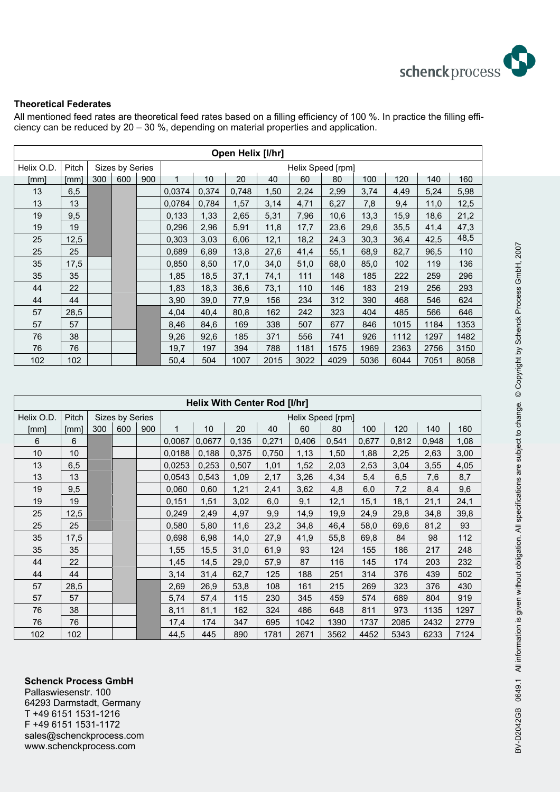

## **Theoretical Federates**

All mentioned feed rates are theoretical feed rates based on a filling efficiency of 100 %. In practice the filling efficiency can be reduced by 20 – 30 %, depending on material properties and application.

| Open Helix [I/hr] |       |     |                 |     |        |                   |       |      |      |      |      |      |      |      |  |
|-------------------|-------|-----|-----------------|-----|--------|-------------------|-------|------|------|------|------|------|------|------|--|
| Helix O.D.        | Pitch |     | Sizes by Series |     |        | Helix Speed [rpm] |       |      |      |      |      |      |      |      |  |
| [mm]              | [mm]  | 300 | 600             | 900 | 1      | 10                | 20    | 40   | 60   | 80   | 100  | 120  | 140  | 160  |  |
| 13                | 6,5   |     |                 |     | 0,0374 | 0,374             | 0,748 | 1,50 | 2,24 | 2,99 | 3,74 | 4,49 | 5,24 | 5,98 |  |
| 13                | 13    |     |                 |     | 0,0784 | 0,784             | 1,57  | 3,14 | 4,71 | 6,27 | 7,8  | 9,4  | 11,0 | 12,5 |  |
| 19                | 9,5   |     |                 |     | 0.133  | 1,33              | 2,65  | 5,31 | 7,96 | 10,6 | 13,3 | 15,9 | 18,6 | 21,2 |  |
| 19                | 19    |     |                 |     | 0,296  | 2,96              | 5,91  | 11,8 | 17,7 | 23,6 | 29,6 | 35,5 | 41,4 | 47,3 |  |
| 25                | 12,5  |     |                 |     | 0,303  | 3,03              | 6,06  | 12,1 | 18,2 | 24,3 | 30,3 | 36,4 | 42,5 | 48,5 |  |
| 25                | 25    |     |                 |     | 0,689  | 6,89              | 13,8  | 27,6 | 41,4 | 55,1 | 68,9 | 82,7 | 96,5 | 110  |  |
| 35                | 17,5  |     |                 |     | 0,850  | 8,50              | 17,0  | 34,0 | 51,0 | 68,0 | 85,0 | 102  | 119  | 136  |  |
| 35                | 35    |     |                 |     | 1,85   | 18,5              | 37,1  | 74,1 | 111  | 148  | 185  | 222  | 259  | 296  |  |
| 44                | 22    |     |                 |     | 1,83   | 18,3              | 36,6  | 73,1 | 110  | 146  | 183  | 219  | 256  | 293  |  |
| 44                | 44    |     |                 |     | 3,90   | 39,0              | 77,9  | 156  | 234  | 312  | 390  | 468  | 546  | 624  |  |
| 57                | 28,5  |     |                 |     | 4,04   | 40,4              | 80,8  | 162  | 242  | 323  | 404  | 485  | 566  | 646  |  |
| 57                | 57    |     |                 |     | 8,46   | 84,6              | 169   | 338  | 507  | 677  | 846  | 1015 | 1184 | 1353 |  |
| 76                | 38    |     |                 |     | 9,26   | 92,6              | 185   | 371  | 556  | 741  | 926  | 1112 | 1297 | 1482 |  |
| 76                | 76    |     |                 |     | 19,7   | 197               | 394   | 788  | 1181 | 1575 | 1969 | 2363 | 2756 | 3150 |  |
| 102               | 102   |     |                 |     | 50,4   | 504               | 1007  | 2015 | 3022 | 4029 | 5036 | 6044 | 7051 | 8058 |  |

|            | <b>Helix With Center Rod [I/hr]</b> |     |                 |     |        |                   |       |       |       |       |       |       |       |      |  |
|------------|-------------------------------------|-----|-----------------|-----|--------|-------------------|-------|-------|-------|-------|-------|-------|-------|------|--|
| Helix O.D. | Pitch                               |     | Sizes by Series |     |        | Helix Speed [rpm] |       |       |       |       |       |       |       |      |  |
| [mm]       | [mm]                                | 300 | 600             | 900 | 1      | 10                | 20    | 40    | 60    | 80    | 100   | 120   | 140   | 160  |  |
| 6          | 6                                   |     |                 |     | 0,0067 | 0,0677            | 0,135 | 0,271 | 0,406 | 0,541 | 0,677 | 0,812 | 0,948 | 1,08 |  |
| 10         | 10                                  |     |                 |     | 0,0188 | 0,188             | 0,375 | 0,750 | 1,13  | 1,50  | 1,88  | 2,25  | 2,63  | 3,00 |  |
| 13         | 6,5                                 |     |                 |     | 0.0253 | 0,253             | 0,507 | 1,01  | 1,52  | 2,03  | 2,53  | 3,04  | 3,55  | 4,05 |  |
| 13         | 13                                  |     |                 |     | 0.0543 | 0,543             | 1,09  | 2,17  | 3,26  | 4,34  | 5,4   | 6,5   | 7,6   | 8,7  |  |
| 19         | 9,5                                 |     |                 |     | 0,060  | 0,60              | 1,21  | 2,41  | 3,62  | 4,8   | 6,0   | 7,2   | 8,4   | 9,6  |  |
| 19         | 19                                  |     |                 |     | 0,151  | 1,51              | 3,02  | 6,0   | 9,1   | 12,1  | 15,1  | 18,1  | 21,1  | 24,1 |  |
| 25         | 12,5                                |     |                 |     | 0,249  | 2,49              | 4,97  | 9,9   | 14,9  | 19,9  | 24,9  | 29,8  | 34,8  | 39,8 |  |
| 25         | 25                                  |     |                 |     | 0,580  | 5,80              | 11,6  | 23,2  | 34,8  | 46,4  | 58,0  | 69,6  | 81,2  | 93   |  |
| 35         | 17,5                                |     |                 |     | 0,698  | 6,98              | 14,0  | 27,9  | 41,9  | 55,8  | 69,8  | 84    | 98    | 112  |  |
| 35         | 35                                  |     |                 |     | 1,55   | 15,5              | 31,0  | 61,9  | 93    | 124   | 155   | 186   | 217   | 248  |  |
| 44         | 22                                  |     |                 |     | 1,45   | 14,5              | 29,0  | 57,9  | 87    | 116   | 145   | 174   | 203   | 232  |  |
| 44         | 44                                  |     |                 |     | 3,14   | 31,4              | 62,7  | 125   | 188   | 251   | 314   | 376   | 439   | 502  |  |
| 57         | 28,5                                |     |                 |     | 2,69   | 26,9              | 53,8  | 108   | 161   | 215   | 269   | 323   | 376   | 430  |  |
| 57         | 57                                  |     |                 |     | 5,74   | 57,4              | 115   | 230   | 345   | 459   | 574   | 689   | 804   | 919  |  |
| 76         | 38                                  |     |                 |     | 8,11   | 81,1              | 162   | 324   | 486   | 648   | 811   | 973   | 1135  | 1297 |  |
| 76         | 76                                  |     |                 |     | 17,4   | 174               | 347   | 695   | 1042  | 1390  | 1737  | 2085  | 2432  | 2779 |  |
| 102        | 102                                 |     |                 |     | 44,5   | 445               | 890   | 1781  | 2671  | 3562  | 4452  | 5343  | 6233  | 7124 |  |

## **Schenck Process GmbH**

Pallaswiesenstr. 100 64293 Darmstadt, Germany T +49 6151 1531-1216 F +49 6151 1531-1172 sales@schenckprocess.com wwww.schenckprocess.com